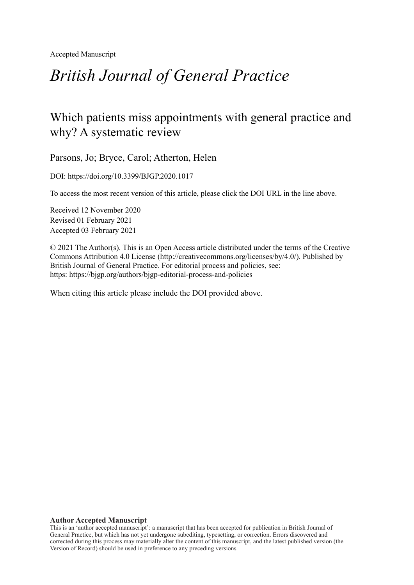Accepted Manuscript

# *British Journal of General Practice*

# Which patients miss appointments with general practice and why? A systematic review

Parsons, Jo; Bryce, Carol; Atherton, Helen

DOI: https://doi.org/10.3399/BJGP.2020.1017

To access the most recent version of this article, please click the DOI URL in the line above.

Received 12 November 2020 Revised 01 February 2021 Accepted 03 February 2021

© 2021 The Author(s). This is an Open Access article distributed under the terms of the Creative Commons Attribution 4.0 License [\(http://creativecommons.org/licenses/by/4.0/](http://creativecommons.org/licenses/by/4.0/)). Published by British Journal of General Practice. For editorial process and policies, see: https: <https://bjgp.org/authors/bjgp-editorial-process-and-policies>

When citing this article please include the DOI provided above.

#### **Author Accepted Manuscript**

This is an 'author accepted manuscript': a manuscript that has been accepted for publication in British Journal of General Practice, but which has not yet undergone subediting, typesetting, or correction. Errors discovered and corrected during this process may materially alter the content of this manuscript, and the latest published version (the Version of Record) should be used in preference to any preceding versions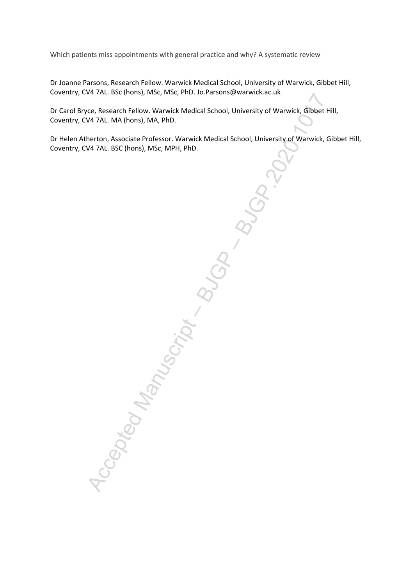Which patients miss appointments with general practice and why? A systematic review

Dr Joanne Parsons, Research Fellow. Warwick Medical School, University of Warwick, Gibbet Hill, Coventry, CV4 7AL. BSc (hons), MSc, MSc, PhD. Jo.Parsons@warwick.ac.uk

Dr Carol Bryce, Research Fellow. Warwick Medical School, University of Warwick, Gibbet Hill, Coventry, CV4 7AL. MA (hons), MA, PhD.

Dr Helen Atherton, Associate Professor. Warwick Medical School, University of Warwick, Gibbet Hill, Coventry, CV4 7AL. BSC (hons), MSc, MPH, PhD.

1ccepted Manuscript – BJGP.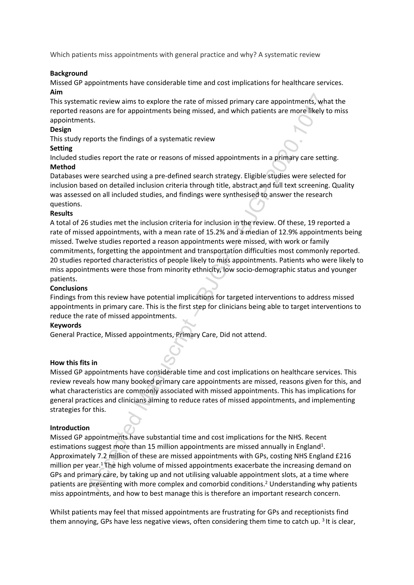Which patients miss appointments with general practice and why? A systematic review

# **Background**

Missed GP appointments have considerable time and cost implications for healthcare services. **Aim**

This systematic review aims to explore the rate of missed primary care appointments, what the reported reasons are for appointments being missed, and which patients are more likely to miss appointments.

# **Design**

This study reports the findings of a systematic review

# **Setting**

Included studies report the rate or reasons of missed appointments in a primary care setting. **Method**

Databases were searched using a pre-defined search strategy. Eligible studies were selected for inclusion based on detailed inclusion criteria through title, abstract and full text screening. Quality was assessed on all included studies, and findings were synthesised to answer the research questions.

# **Results**

Accepted Manuscript – BJGP – BJGP.2020.1017 A total of 26 studies met the inclusion criteria for inclusion in the review. Of these, 19 reported a rate of missed appointments, with a mean rate of 15.2% and a median of 12.9% appointments being missed. Twelve studies reported a reason appointments were missed, with work or family commitments, forgetting the appointment and transportation difficulties most commonly reported. 20 studies reported characteristics of people likely to miss appointments. Patients who were likely to miss appointments were those from minority ethnicity, low socio-demographic status and younger patients.

# **Conclusions**

Findings from this review have potential implications for targeted interventions to address missed appointments in primary care. This is the first step for clinicians being able to target interventions to reduce the rate of missed appointments.

# **Keywords**

General Practice, Missed appointments, Primary Care, Did not attend.

# **How this fits in**

Missed GP appointments have considerable time and cost implications on healthcare services. This review reveals how many booked primary care appointments are missed, reasons given for this, and what characteristics are commonly associated with missed appointments. This has implications for general practices and clinicians aiming to reduce rates of missed appointments, and implementing strategies for this.

# **Introduction**

Missed GP appointments have substantial time and cost implications for the NHS. Recent estimations suggest more than 15 million appointments are missed annually in England<sup>1</sup>. Approximately 7.2 million of these are missed appointments with GPs, costing NHS England £216 million per year.<sup>1</sup>The high volume of missed appointments exacerbate the increasing demand on GPs and primary care, by taking up and not utilising valuable appointment slots, at a time where patients are presenting with more complex and comorbid conditions.<sup>2</sup> Understanding why patients miss appointments, and how to best manage this is therefore an important research concern.

Whilst patients may feel that missed appointments are frustrating for GPs and receptionists find them annoying, GPs have less negative views, often considering them time to catch up. <sup>3</sup> It is clear,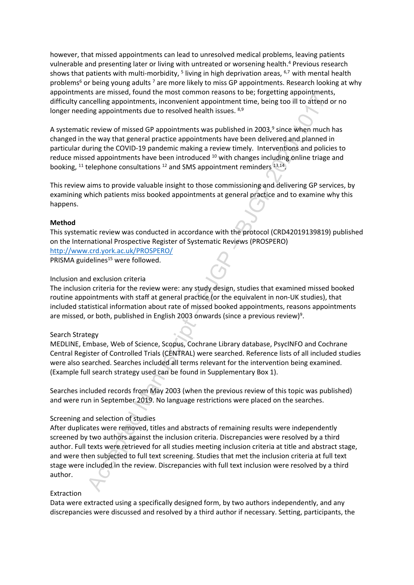however, that missed appointments can lead to unresolved medical problems, leaving patients vulnerable and presenting later or living with untreated or worsening health.<sup>4</sup> Previous research shows that patients with multi-morbidity, <sup>5</sup> living in high deprivation areas, <sup>6,7</sup> with mental health problems<sup>6</sup> or being young adults <sup>7</sup> are more likely to miss GP appointments. Research looking at why appointments are missed, found the most common reasons to be; forgetting appointments, difficulty cancelling appointments, inconvenient appointment time, being too ill to attend or no longer needing appointments due to resolved health issues. 8,9

A systematic review of missed GP appointments was published in 2003,<sup>9</sup> since when much has changed in the way that general practice appointments have been delivered and planned in particular during the COVID-19 pandemic making a review timely. Interventions and policies to reduce missed appointments have been introduced  $10$  with changes including online triage and booking,  $^{11}$  telephone consultations  $^{12}$  and SMS appointment reminders  $^{13,14}$ .

This review aims to provide valuable insight to those commissioning and delivering GP services, by examining which patients miss booked appointments at general practice and to examine why this happens.

# **Method**

This systematic review was conducted in accordance with the protocol (CRD42019139819) published on the International Prospective Register of Systematic Reviews (PROSPERO) <http://www.crd.york.ac.uk/PROSPERO/>

PRISMA guidelines<sup>15</sup> were followed.

#### Inclusion and exclusion criteria

The inclusion criteria for the review were: any study design, studies that examined missed booked routine appointments with staff at general practice (or the equivalent in non-UK studies), that included statistical information about rate of missed booked appointments, reasons appointments are missed, or both, published in English 2003 onwards (since a previous review)<sup>9</sup>.

#### Search Strategy

MEDLINE, Embase, Web of Science, Scopus, Cochrane Library database, PsycINFO and Cochrane Central Register of Controlled Trials (CENTRAL) were searched. Reference lists of all included studies were also searched. Searches included all terms relevant for the intervention being examined. (Example full search strategy used can be found in Supplementary Box 1).

Searches included records from May 2003 (when the previous review of this topic was published) and were run in September 2019. No language restrictions were placed on the searches.

# Screening and selection of studies

Collarly and the most control and the most common teasons to cx, logisting appointments and the most creative appointment time, being too ill to attend<br>the appointments due to resolved health insues.<sup>8,39</sup><br>the most provide After duplicates were removed, titles and abstracts of remaining results were independently screened by two authors against the inclusion criteria. Discrepancies were resolved by a third author. Full texts were retrieved for all studies meeting inclusion criteria at title and abstract stage, and were then subjected to full text screening. Studies that met the inclusion criteria at full text stage were included in the review. Discrepancies with full text inclusion were resolved by a third author.

#### Extraction

Data were extracted using a specifically designed form, by two authors independently, and any discrepancies were discussed and resolved by a third author if necessary. Setting, participants, the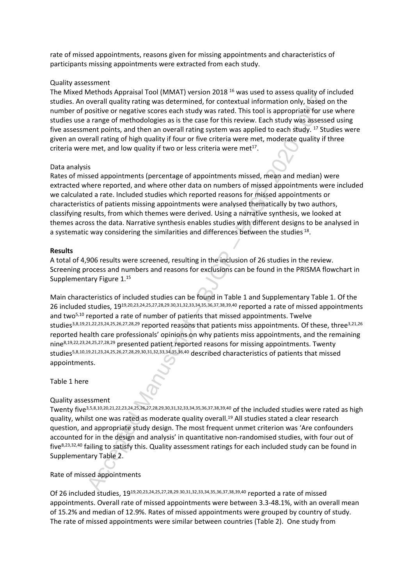rate of missed appointments, reasons given for missing appointments and characteristics of participants missing appointments were extracted from each study.

#### Quality assessment

The Mixed Methods Appraisal Tool (MMAT) version 2018 <sup>16</sup> was used to assess quality of included studies. An overall quality rating was determined, for contextual information only, based on the number of positive or negative scores each study was rated. This tool is appropriate for use where studies use a range of methodologies as is the case for this review. Each study was assessed using five assessment points, and then an overall rating system was applied to each study. <sup>17</sup> Studies were given an overall rating of high quality if four or five criteria were met, moderate quality if three criteria were met, and low quality if two or less criteria were met $17$ .

#### Data analysis

Rates of missed appointments (percentage of appointments missed, mean and median) were extracted where reported, and where other data on numbers of missed appointments were included we calculated a rate. Included studies which reported reasons for missed appointments or characteristics of patients missing appointments were analysed thematically by two authors, classifying results, from which themes were derived. Using a narrative synthesis, we looked at themes across the data. Narrative synthesis enables studies with different designs to be analysed in a systematic way considering the similarities and differences between the studies  $^{18}$ .

#### **Results**

A total of 4,906 results were screened, resulting in the inclusion of 26 studies in the review. Screening process and numbers and reasons for exclusions can be found in the PRISMA flowchart in Supplementary Figure 1.<sup>15</sup>

Nextrand public and the included studies and the included studies were also to the included Studies of the metallity and the included Manuscript of the study was a stellern (mist tool) is appropriate to ruse of the study w Main characteristics of included studies can be found in Table 1 and Supplementary Table 1. Of the 26 included studies, 1919,20,23,24,25,27,28,29.30,31,32,33,34,35,36,37,38,39,40 reported a rate of missed appointments and two<sup>5,10</sup> reported a rate of number of patients that missed appointments. Twelve studies<sup>3,8,19,21,22,23,24,25,26,27,28,29</sup> reported reasons that patients miss appointments. Of these, three<sup>3,21,26</sup> reported health care professionals' opinions on why patients miss appointments, and the remaining nine8,19,22,23,24,25,27,28,29 presented patient reported reasons for missing appointments. Twenty studies5,8,10,19,21,23,24,25,26,27,28,29,30,31,32,33,34,35,36,40 described characteristics of patients that missed appointments.

Table 1 here

# Quality assessment

Twenty five3,5,8,10,20,21,22,23,24,25,26,27,28,29,30,31,32,33,34,35,36,37,38,39,40 of the included studies were rated as high quality, whilst one was rated as moderate quality overall.<sup>19</sup> All studies stated a clear research question, and appropriate study design. The most frequent unmet criterion was 'Are confounders accounted for in the design and analysis' in quantitative non-randomised studies, with four out of five8,23,32,40 failing to satisfy this. Quality assessment ratings for each included study can be found in Supplementary Table 2.

# Rate of missed appointments

Of 26 included studies, 1919,20,23,24,25,27,28,29.30,31,32,33,34,35,36,37,38,39,40 reported a rate of missed appointments. Overall rate of missed appointments were between 3.3-48.1%, with an overall mean of 15.2% and median of 12.9%. Rates of missed appointments were grouped by country of study. The rate of missed appointments were similar between countries (Table 2). One study from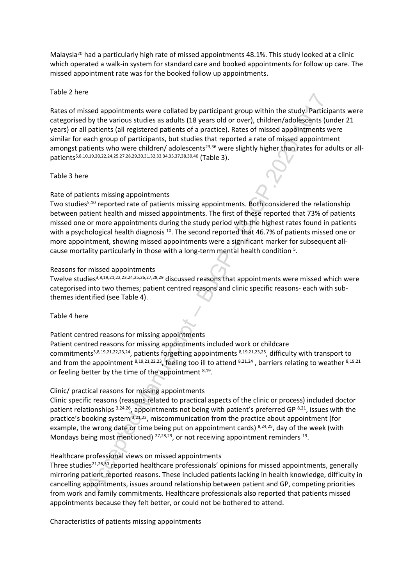Malaysia<sup>20</sup> had a particularly high rate of missed appointments 48.1%. This study looked at a clinic which operated a walk-in system for standard care and booked appointments for follow up care. The missed appointment rate was for the booked follow up appointments.

# Table 2 here

is example interting were collated by participant group within the study. Participy by the various studies as adults (18 years old or over), children/adolescents (uring<br>the patients (all registered patients) of a practice) Rates of missed appointments were collated by participant group within the study. Participants were categorised by the various studies as adults (18 years old or over), children/adolescents (under 21 years) or all patients (all registered patients of a practice). Rates of missed appointments were similar for each group of participants, but studies that reported a rate of missed appointment amongst patients who were children/ adolescents<sup>23,36</sup> were slightly higher than rates for adults or allpatients5,8,10,19,20,22,24,25,27,28,29,30,31,32,33,34,35,37,38,39,40 (Table 3).

# Table 3 here

# Rate of patients missing appointments

Two studies<sup>5,10</sup> reported rate of patients missing appointments. Both considered the relationship between patient health and missed appointments. The first of these reported that 73% of patients missed one or more appointments during the study period with the highest rates found in patients with a psychological health diagnosis <sup>10</sup>. The second reported that 46.7% of patients missed one or more appointment, showing missed appointments were a significant marker for subsequent allcause mortality particularly in those with a long-term mental health condition <sup>5</sup>.

#### Reasons for missed appointments

Twelve studies3,8,19,21,22,23,24,25,26,27,28,29 discussed reasons that appointments were missed which were categorised into two themes; patient centred reasons and clinic specific reasons- each with subthemes identified (see Table 4).

# Table 4 here

Patient centred reasons for missing appointments

Patient centred reasons for missing appointments included work or childcare commitments3,8,19,21,22,23,24, patients forgetting appointments 8,19,21,23,25, difficulty with transport to and from the appointment  $8,19,21,22,23$ , feeling too ill to attend  $8,21,24$ , barriers relating to weather  $8,19,21$ or feeling better by the time of the appointment 8,19.

# Clinic/ practical reasons for missing appointments

Clinic specific reasons (reasons related to practical aspects of the clinic or process) included doctor patient relationships 3,24,26, appointments not being with patient's preferred GP 8,21, issues with the practice's booking system 3,21,22, miscommunication from the practice about appointment (for example, the wrong date or time being put on appointment cards) 8,24,25, day of the week (with Mondays being most mentioned)  $27,28,29$ , or not receiving appointment reminders  $19$ .

# Healthcare professional views on missed appointments

Three studies<sup>21,26,30</sup> reported healthcare professionals' opinions for missed appointments, generally mirroring patient reported reasons. These included patients lacking in health knowledge, difficulty in cancelling appointments, issues around relationship between patient and GP, competing priorities from work and family commitments. Healthcare professionals also reported that patients missed appointments because they felt better, or could not be bothered to attend.

Characteristics of patients missing appointments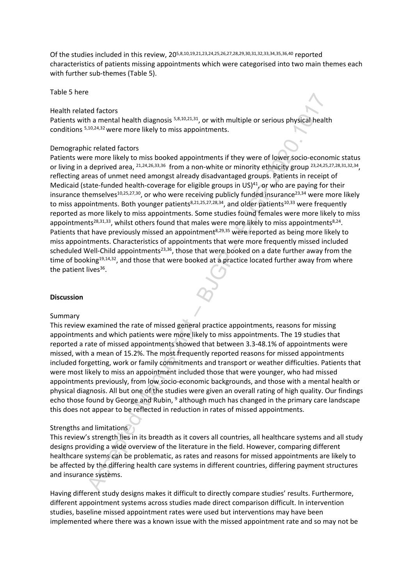Of the studies included in this review, 205,8,10,19,21,23,24,25,26,27,28,29,30,31,32,33,34,35,36,40 reported characteristics of patients missing appointments which were categorised into two main themes each with further sub-themes (Table 5).

Table 5 here

#### Health related factors

Patients with a mental health diagnosis <sup>5,8,10,21,31</sup>, or with multiple or serious physical health conditions 5,10,24,32 were more likely to miss appointments.

# Demographic related factors

Considered Manuscript – Batter in the method in the method in the method in the method in the different and the different and the different and the different and the different and the different and the different and the di Patients were more likely to miss booked appointments if they were of lower socio-economic status or living in a deprived area, <sup>21,24,26,33,36</sup> from a non-white or minority ethnicity group <sup>23,24,25,27,28,31,32,34</sup>, reflecting areas of unmet need amongst already disadvantaged groups. Patients in receipt of Medicaid (state-funded health-coverage for eligible groups in US) $41$ , or who are paying for their insurance themselves<sup>10,25,27,30</sup>, or who were receiving publicly funded insurance<sup>23,34</sup> were more likely to miss appointments. Both younger patients<sup>8,21,25,27,28,34</sup>, and older patients<sup>10,33</sup> were frequently reported as more likely to miss appointments. Some studies found females were more likely to miss appointments<sup>28,31,33</sup>, whilst others found that males were more likely to miss appointments<sup>8,24</sup>. Patients that have previously missed an appointment<sup>8,29,35</sup> were reported as being more likely to miss appointments. Characteristics of appointments that were more frequently missed included scheduled Well-Child appointments<sup>23,36</sup>, those that were booked on a date further away from the time of booking<sup>19,14,32</sup>, and those that were booked at a practice located further away from where the patient lives<sup>36</sup>.

# **Discussion**

#### Summary

This review examined the rate of missed general practice appointments, reasons for missing appointments and which patients were more likely to miss appointments. The 19 studies that reported a rate of missed appointments showed that between 3.3-48.1% of appointments were missed, with a mean of 15.2%. The most frequently reported reasons for missed appointments included forgetting, work or family commitments and transport or weather difficulties. Patients that were most likely to miss an appointment included those that were younger, who had missed appointments previously, from low socio-economic backgrounds, and those with a mental health or physical diagnosis. All but one of the studies were given an overall rating of high quality. Our findings echo those found by George and Rubin, <sup>9</sup> although much has changed in the primary care landscape this does not appear to be reflected in reduction in rates of missed appointments.

# Strengths and limitations

This review's strength lies in its breadth as it covers all countries, all healthcare systems and all study designs providing a wide overview of the literature in the field. However, comparing different healthcare systems can be problematic, as rates and reasons for missed appointments are likely to be affected by the differing health care systems in different countries, differing payment structures and insurance systems.

Having different study designs makes it difficult to directly compare studies' results. Furthermore, different appointment systems across studies made direct comparison difficult. In intervention studies, baseline missed appointment rates were used but interventions may have been implemented where there was a known issue with the missed appointment rate and so may not be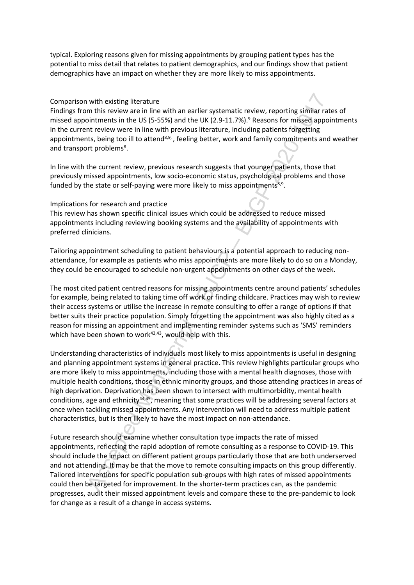typical. Exploring reasons given for missing appointments by grouping patient types has the potential to miss detail that relates to patient demographics, and our findings show that patient demographics have an impact on whether they are more likely to miss appointments.

#### Comparison with existing literature

Findings from this review are in line with an earlier systematic review, reporting similar rates of missed appointments in the US (5-55%) and the UK (2.9-11.7%).<sup>9</sup> Reasons for missed appointments in the current review were in line with previous literature, including patients forgetting appointments, being too ill to attend<sup>8,9,</sup>, feeling better, work and family commitments and weather and transport problems<sup>8</sup>.

In line with the current review, previous research suggests that younger patients, those that previously missed appointments, low socio-economic status, psychological problems and those funded by the state or self-paying were more likely to miss appointments<sup>8,9</sup>.

#### Implications for research and practice

This review has shown specific clinical issues which could be addressed to reduce missed appointments including reviewing booking systems and the availability of appointments with preferred clinicians.

Tailoring appointment scheduling to patient behaviours is a potential approach to reducing nonattendance, for example as patients who miss appointments are more likely to do so on a Monday, they could be encouraged to schedule non-urgent appointments on other days of the week.

The most cited patient centred reasons for missing appointments centre around patients' schedules for example, being related to taking time off work or finding childcare. Practices may wish to review their access systems or utilise the increase in remote consulting to offer a range of options if that better suits their practice population. Simply forgetting the appointment was also highly cited as a reason for missing an appointment and implementing reminder systems such as 'SMS' reminders which have been shown to work $42,43$ , would help with this.

with existing literature<br>m this review are in line with an earlier systematic review, reporting similar ration<br>internetis in the US (5-55%) and the UK (2:9-11.7%).<sup>9</sup> Reasons for missed appoir<br>internetis in the US (5-55%) Understanding characteristics of individuals most likely to miss appointments is useful in designing and planning appointment systems in general practice. This review highlights particular groups who are more likely to miss appointments, including those with a mental health diagnoses, those with multiple health conditions, those in ethnic minority groups, and those attending practices in areas of high deprivation. Deprivation has been shown to intersect with multimorbidity, mental health conditions, age and ethnicity44,45, meaning that some practices will be addressing several factors at once when tackling missed appointments. Any intervention will need to address multiple patient characteristics, but is then likely to have the most impact on non-attendance.

Future research should examine whether consultation type impacts the rate of missed appointments, reflecting the rapid adoption of remote consulting as a response to COVID-19. This should include the impact on different patient groups particularly those that are both underserved and not attending. It may be that the move to remote consulting impacts on this group differently. Tailored interventions for specific population sub-groups with high rates of missed appointments could then be targeted for improvement. In the shorter-term practices can, as the pandemic progresses, audit their missed appointment levels and compare these to the pre-pandemic to look for change as a result of a change in access systems.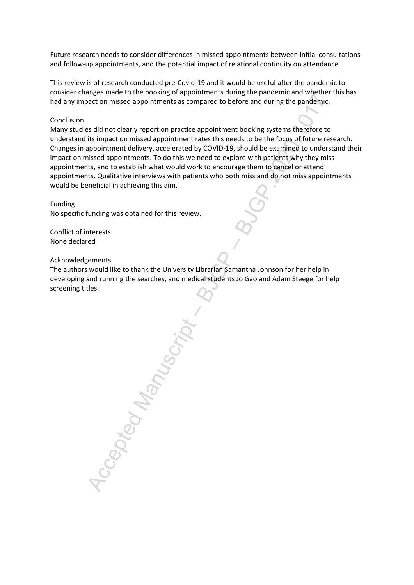Future research needs to consider differences in missed appointments between initial consultations and follow-up appointments, and the potential impact of relational continuity on attendance.

This review is of research conducted pre-Covid-19 and it would be useful after the pandemic to consider changes made to the booking of appointments during the pandemic and whether this has had any impact on missed appointments as compared to before and during the pandemic.

#### Conclusion

Many studies did not clearly report on practice appointment booking systems therefore to understand its impact on missed appointment rates this needs to be the focus of future research. Changes in appointment delivery, accelerated by COVID-19, should be examined to understand their impact on missed appointments. To do this we need to explore with patients why they miss appointments, and to establish what would work to encourage them to cancel or attend appointments. Qualitative interviews with patients who both miss and do not miss appointments would be beneficial in achieving this aim.

Funding No specific funding was obtained for this review.

Conflict of interests None declared

Acknowledgements

The authors would like to thank the University Librarian Samantha Johnson for her help in developing and running the searches, and medical students Jo Gao and Adam Steege for help screening titles.

Accepted Manuscript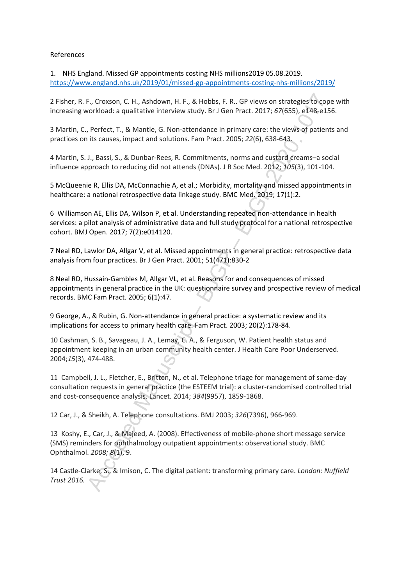#### References

1. NHS England. Missed GP appointments costing NHS millions2019 05.08.2019. <https://www.england.nhs.uk/2019/01/missed-gp-appointments-costing-nhs-millions/2019/>

2 Fisher, R. F., Croxson, C. H., Ashdown, H. F., & Hobbs, F. R.. GP views on strategies to cope with increasing workload: a qualitative interview study. Br J Gen Pract. 2017; *67*(655), e148-e156.

3 Martin, C., Perfect, T., & Mantle, G. Non-attendance in primary care: the views of patients and practices on its causes, impact and solutions. Fam Pract. 2005; *22*(6), 638-643.

4 Martin, S. J., Bassi, S., & Dunbar-Rees, R. Commitments, norms and custard creams–a social influence approach to reducing did not attends (DNAs). J R Soc Med. 2012; *105*(3), 101-104.

5 McQueenie R, Ellis DA, McConnachie A, et al.; Morbidity, mortality and missed appointments in healthcare: a national retrospective data linkage study. BMC Med. 2019; 17(1):2.

6 Williamson AE, Ellis DA, Wilson P, et al. Understanding repeated non-attendance in health services: a pilot analysis of administrative data and full study protocol for a national retrospective cohort. BMJ Open. 2017; 7(2):e014120.

7 Neal RD, Lawlor DA, Allgar V, et al. Missed appointments in general practice: retrospective data analysis from four practices. Br J Gen Pract. 2001; 51(471):830-2

F., Croxson, C. H., Ashdown, H. F., & Hobbs, F. R.. GP views on strategies to coprorkload: a qualitative interview study. Br J Gen Pract. 2017; 67(655), e148-e15<br>
reflect, T., & Mantle, C. Non-attendance in primary care: t 8 Neal RD, Hussain-Gambles M, Allgar VL, et al. Reasons for and consequences of missed appointments in general practice in the UK: questionnaire survey and prospective review of medical records. BMC Fam Pract. 2005; 6(1):47.

9 George, A., & Rubin, G. Non-attendance in general practice: a systematic review and its implications for access to primary health care. Fam Pract. 2003; 20(2):178-84.

10 Cashman, S. B., Savageau, J. A., Lemay, C. A., & Ferguson, W. Patient health status and appointment keeping in an urban community health center. J Health Care Poor Underserved. 2004;*15*(3), 474-488.

11 Campbell, J. L., Fletcher, E., Britten, N., et al. Telephone triage for management of same-day consultation requests in general practice (the ESTEEM trial): a cluster-randomised controlled trial and cost-consequence analysis. Lancet*.* 2014; *384*(9957), 1859-1868.

12 Car, J., & Sheikh, A. Telephone consultations. BMJ 2003; *326*(7396), 966-969.

13 Koshy, E., Car, J., & Majeed, A. (2008). Effectiveness of mobile-phone short message service (SMS) reminders for ophthalmology outpatient appointments: observational study. BMC Ophthalmol. *2008; 8*(1), 9.

14 Castle-Clarke, S., & Imison, C. The digital patient: transforming primary care. *London: Nuffield Trust 2016.*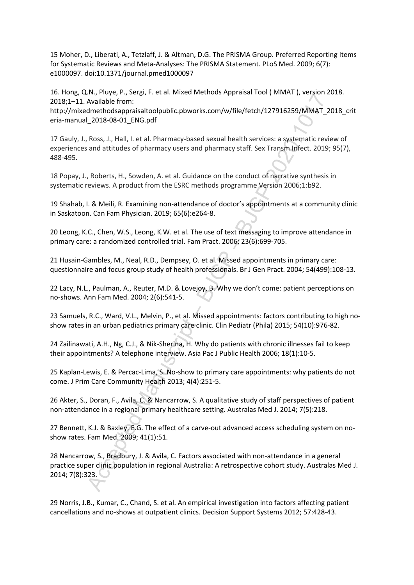15 Moher, D., Liberati, A., Tetzlaff, J. & Altman, D.G. The PRISMA Group. Preferred Reporting Items for Systematic Reviews and Meta-Analyses: The PRISMA Statement. PLoS Med. 2009; 6(7): e1000097. doi:10.1371/journal.pmed1000097

16. Hong, Q.N., Pluye, P., Sergi, F. et al. Mixed Methods Appraisal Tool ( MMAT ), version 2018. 2018;1–11. Available from:

http://mixedmethodsappraisaltoolpublic.pbworks.com/w/file/fetch/127916259/MMAT\_2018\_crit eria-manual\_2018-08-01\_ENG.pdf

17 Gauly, J., Ross, J., Hall, I. et al. Pharmacy-based sexual health services: a systematic review of experiences and attitudes of pharmacy users and pharmacy staff. Sex Transm Infect. 2019; 95(7), 488-495.

18 Popay, J., Roberts, H., Sowden, A. et al. Guidance on the conduct of narrative synthesis in systematic reviews. A product from the ESRC methods programme Version 2006;1:b92.

19 Shahab, I. & Meili, R. Examining non-attendance of doctor's appointments at a community clinic in Saskatoon. Can Fam Physician. 2019; 65(6):e264-8.

20 Leong, K.C., Chen, W.S., Leong, K.W. et al. The use of text messaging to improve attendance in primary care: a randomized controlled trial. Fam Pract. 2006; 23(6):699-705.

21 Husain-Gambles, M., Neal, R.D., Dempsey, O. et al. Missed appointments in primary care: questionnaire and focus group study of health professionals. Br J Gen Pract. 2004; 54(499):108-13.

22 Lacy, N.L., Paulman, A., Reuter, M.D. & Lovejoy, B. Why we don't come: patient perceptions on no-shows. Ann Fam Med. 2004; 2(6):541-5.

23 Samuels, R.C., Ward, V.L., Melvin, P., et al. Missed appointments: factors contributing to high noshow rates in an urban pediatrics primary care clinic. Clin Pediatr (Phila) 2015; 54(10):976-82.

24 Zailinawati, A.H., Ng, C.J., & Nik-Sherina, H. Why do patients with chronic illnesses fail to keep their appointments? A telephone interview. Asia Pac J Public Health 2006; 18(1):10-5.

25 Kaplan-Lewis, E. & Percac-Lima, S. No-show to primary care appointments: why patients do not come. J Prim Care Community Health 2013; 4(4):251-5.

26 Akter, S., Doran, F., Avila, C. & Nancarrow, S. A qualitative study of staff perspectives of patient non-attendance in a regional primary healthcare setting. Australas Med J. 2014; 7(5):218.

27 Bennett, K.J. & Baxley, E.G. The effect of a carve-out advanced access scheduling system on noshow rates. Fam Med. 2009; 41(1):51.

Str., ruse, r., seagon External Manuscript (Manuscript Journal Manuscript (Manuscript And Manuscript – 2013-08-01 FMC, 1, 2013-08-01 FMC, 1, 2013-08-01 FMC, 2013-08-01 FMC, 2013-08-01 FMC, 2013-08-01 FMC, 2013-08-01 FMC, p 28 Nancarrow, S., Bradbury, J. & Avila, C. Factors associated with non-attendance in a general practice super clinic population in regional Australia: A retrospective cohort study. Australas Med J. 2014; 7(8):323.

29 Norris, J.B., Kumar, C., Chand, S. et al. An empirical investigation into factors affecting patient cancellations and no-shows at outpatient clinics. Decision Support Systems 2012; 57:428-43.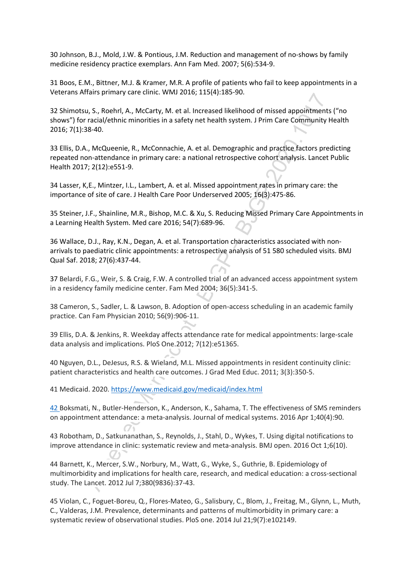30 Johnson, B.J., Mold, J.W. & Pontious, J.M. Reduction and management of no-shows by family medicine residency practice exemplars. Ann Fam Med. 2007; 5(6):534-9.

31 Boos, E.M., Bittner, M.J. & Kramer, M.R. A profile of patients who fail to keep appointments in a Veterans Affairs primary care clinic. WMJ 2016; 115(4):185-90.

man spannaly care unit. Wave Lead, 2.12(19)-1.13-50:<br>
As 5, Roberl, A., McContry, M. et al. Increased likelihiood of missed appointments<br>
racial/ethnic minorities in a safety net health system. J. Prim Care Community H<br>
as 32 Shimotsu, S., Roehrl, A., McCarty, M. et al. Increased likelihood of missed appointments ("no shows") for racial/ethnic minorities in a safety net health system. J Prim Care Community Health 2016; 7(1):38-40.

33 Ellis, D.A., McQueenie, R., McConnachie, A. et al. Demographic and practice factors predicting repeated non-attendance in primary care: a national retrospective cohort analysis. Lancet Public Health 2017; 2(12):e551-9.

34 Lasser, K,E., Mintzer, I.L., Lambert, A. et al. Missed appointment rates in primary care: the importance of site of care. J Health Care Poor Underserved 2005; 16(3):475-86.

35 Steiner, J.F., Shainline, M.R., Bishop, M.C. & Xu, S. Reducing Missed Primary Care Appointments in a Learning Health System. Med care 2016; 54(7):689-96.

36 Wallace, D.J., Ray, K.N., Degan, A. et al. Transportation characteristics associated with nonarrivals to paediatric clinic appointments: a retrospective analysis of 51 580 scheduled visits. BMJ Qual Saf. 2018; 27(6):437-44.

37 Belardi, F.G., Weir, S. & Craig, F.W. A controlled trial of an advanced access appointment system in a residency family medicine center. Fam Med 2004; 36(5):341-5.

38 Cameron, S., Sadler, L. & Lawson, B. Adoption of open-access scheduling in an academic family practice. Can Fam Physician 2010; 56(9):906-11.

39 Ellis, D.A. & Jenkins, R. Weekday affects attendance rate for medical appointments: large-scale data analysis and implications. PloS One.2012; 7(12):e51365.

40 Nguyen, D.L., DeJesus, R.S. & Wieland, M.L. Missed appointments in resident continuity clinic: patient characteristics and health care outcomes. J Grad Med Educ. 2011; 3(3):350-5.

41 Medicaid. 2020. https://www.medicaid.gov/medicaid/index.html

42 Boksmati, N., Butler-Henderson, K., Anderson, K., Sahama, T. The effectiveness of SMS reminders on appointment attendance: a meta-analysis. Journal of medical systems. 2016 Apr 1;40(4):90.

43 Robotham, D., Satkunanathan, S., Reynolds, J., Stahl, D., Wykes, T. Using digital notifications to improve attendance in clinic: systematic review and meta-analysis. BMJ open. 2016 Oct 1;6(10).

44 Barnett, K., Mercer, S.W., Norbury, M., Watt, G., Wyke, S., Guthrie, B. Epidemiology of multimorbidity and implications for health care, research, and medical education: a cross-sectional study. The Lancet. 2012 Jul 7;380(9836):37-43.

45 Violan, C., Foguet-Boreu, Q., Flores-Mateo, G., Salisbury, C., Blom, J., Freitag, M., Glynn, L., Muth, C., Valderas, J.M. Prevalence, determinants and patterns of multimorbidity in primary care: a systematic review of observational studies. PloS one. 2014 Jul 21;9(7):e102149.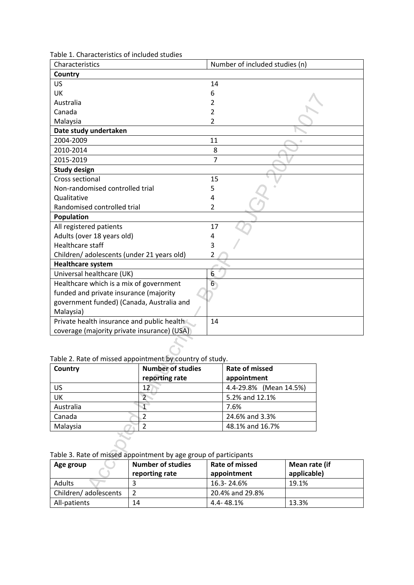| Table 1. Characteristics of included studies |  |
|----------------------------------------------|--|
|----------------------------------------------|--|

| Characteristics                                                  |                          |                | Number of included studies (n) |               |
|------------------------------------------------------------------|--------------------------|----------------|--------------------------------|---------------|
| Country                                                          |                          |                |                                |               |
| US                                                               |                          | 14             |                                |               |
| UK                                                               |                          | 6              |                                |               |
| Australia                                                        |                          | 2              |                                |               |
| Canada                                                           |                          | 2              |                                |               |
| Malaysia                                                         |                          | $\overline{2}$ |                                |               |
| Date study undertaken                                            |                          |                |                                |               |
| 2004-2009                                                        |                          | 11             |                                |               |
| 2010-2014                                                        |                          | 8              |                                |               |
| 2015-2019                                                        |                          | $\overline{7}$ |                                |               |
| <b>Study design</b>                                              |                          |                |                                |               |
| Cross sectional                                                  |                          | 15             |                                |               |
| Non-randomised controlled trial                                  |                          | 5              |                                |               |
| Qualitative                                                      |                          | 4              |                                |               |
| Randomised controlled trial                                      |                          | $\overline{2}$ |                                |               |
| Population                                                       |                          |                |                                |               |
| All registered patients                                          |                          | 17             |                                |               |
| Adults (over 18 years old)                                       |                          | 4              |                                |               |
| <b>Healthcare staff</b>                                          |                          | 3              |                                |               |
| Children/ adolescents (under 21 years old)                       |                          | 2              |                                |               |
| <b>Healthcare system</b>                                         |                          |                |                                |               |
| Universal healthcare (UK)                                        |                          | 6              |                                |               |
| Healthcare which is a mix of government                          |                          | 6 <sub>1</sub> |                                |               |
| funded and private insurance (majority                           |                          |                |                                |               |
| government funded) (Canada, Australia and                        |                          |                |                                |               |
| Malaysia)                                                        |                          |                |                                |               |
| Private health insurance and public health                       |                          | 14             |                                |               |
| coverage (majority private insurance) (USA)                      |                          |                |                                |               |
|                                                                  |                          |                |                                |               |
|                                                                  |                          |                |                                |               |
| Table 2. Rate of missed appointment by country of study.         |                          |                |                                |               |
| Country                                                          | <b>Number of studies</b> |                | <b>Rate of missed</b>          |               |
|                                                                  | reporting rate           |                | appointment                    |               |
| <b>US</b>                                                        | 12 <sub>1</sub>          |                | 4.4-29.8% (Mean 14.5%)         |               |
| UK                                                               | $\overline{2}$           |                | 5.2% and 12.1%                 |               |
| Australia                                                        | $\overline{1}$           |                | 7.6%                           |               |
| Canada                                                           | $\overline{2}$           |                | 24.6% and 3.3%                 |               |
| Malaysia                                                         | $\overline{2}$           |                | 48.1% and 16.7%                |               |
|                                                                  |                          |                |                                |               |
|                                                                  |                          |                |                                |               |
| Table 3. Rate of missed appointment by age group of participants |                          |                |                                |               |
| Age group                                                        | <b>Number of studies</b> |                | <b>Rate of missed</b>          | Mean rate (if |
|                                                                  | reporting rate           | appointment    |                                | applicable)   |
| Adults                                                           | 3                        | 16.3-24.6%     |                                | 19.1%         |
|                                                                  |                          |                | $20.406$ and $20.006$          |               |

| Country   | <b>Number of studies</b><br>reporting rate | <b>Rate of missed</b><br>appointment |
|-----------|--------------------------------------------|--------------------------------------|
| US        | 12                                         | 4.4-29.8% (Mean 14.5%)               |
| UK        |                                            | 5.2% and 12.1%                       |
| Australia |                                            | 7.6%                                 |
| Canada    |                                            | 24.6% and 3.3%                       |
| Malaysia  |                                            | 48.1% and 16.7%                      |

| Age group            | <b>Number of studies</b><br>reporting rate | Rate of missed<br>appointment | Mean rate (if<br>applicable) |
|----------------------|--------------------------------------------|-------------------------------|------------------------------|
| Adults               |                                            | 16.3-24.6%                    | 19.1%                        |
| Children/adolescents |                                            | 20.4% and 29.8%               |                              |
| All-patients         | 14                                         | 4.4-48.1%                     | 13.3%                        |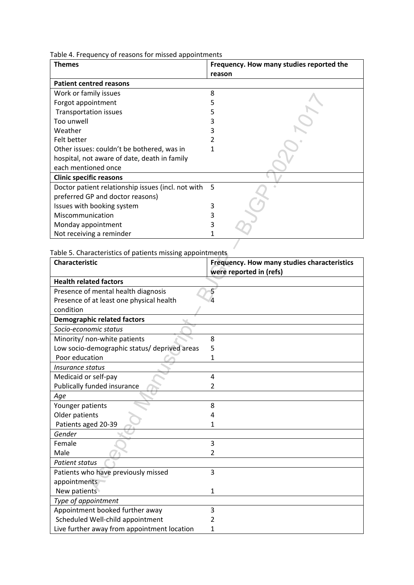Table 4. Frequency of reasons for missed appointments

| <b>Themes</b>                                      | Frequency. How many studies reported the |
|----------------------------------------------------|------------------------------------------|
|                                                    | reason                                   |
| <b>Patient centred reasons</b>                     |                                          |
| Work or family issues                              | 8                                        |
| Forgot appointment                                 |                                          |
| <b>Transportation issues</b>                       |                                          |
| Too unwell                                         |                                          |
| Weather                                            |                                          |
| Felt better                                        |                                          |
| Other issues: couldn't be bothered, was in         |                                          |
| hospital, not aware of date, death in family       |                                          |
| each mentioned once                                |                                          |
| <b>Clinic specific reasons</b>                     |                                          |
| Doctor patient relationship issues (incl. not with | .5                                       |
| preferred GP and doctor reasons)                   |                                          |
| Issues with booking system                         |                                          |
| Miscommunication                                   |                                          |
| Monday appointment                                 |                                          |
| Not receiving a reminder                           |                                          |

|                                                           | ٥                                           |
|-----------------------------------------------------------|---------------------------------------------|
| Forgot appointment                                        | 5                                           |
| <b>Transportation issues</b>                              | 5                                           |
| Too unwell                                                | 3                                           |
| Weather                                                   | 3                                           |
| Felt better                                               |                                             |
| Other issues: couldn't be bothered, was in                | 1                                           |
| hospital, not aware of date, death in family              |                                             |
| each mentioned once                                       |                                             |
| <b>Clinic specific reasons</b>                            |                                             |
| Doctor patient relationship issues (incl. not with        | 5                                           |
| preferred GP and doctor reasons)                          |                                             |
| Issues with booking system                                | 3                                           |
| Miscommunication                                          | 3                                           |
| Monday appointment                                        | 3                                           |
| Not receiving a reminder                                  | 1                                           |
|                                                           |                                             |
| Table 5. Characteristics of patients missing appointments |                                             |
| <b>Characteristic</b>                                     | Frequency. How many studies characteristics |
|                                                           | were reported in (refs)                     |
| <b>Health related factors</b>                             |                                             |
| Presence of mental health diagnosis                       | 5                                           |
| Presence of at least one physical health                  |                                             |
| condition                                                 |                                             |
| <b>Demographic related factors</b>                        |                                             |
| Socio-economic status                                     |                                             |
| Minority/ non-white patients                              | 8                                           |
| Low socio-demographic status/ deprived areas              | 5                                           |
| Poor education                                            | 1                                           |
| Insurance status                                          |                                             |
|                                                           |                                             |
| Medicaid or self-pay                                      | 4                                           |
| Publically funded insurance                               | 2                                           |
| Age                                                       |                                             |
| Younger patients                                          | 8                                           |
| Older patients                                            | 4                                           |
| Patients aged 20-39                                       | 1                                           |
| Gender                                                    |                                             |
| Female                                                    | 3                                           |
| Male                                                      | $\overline{2}$                              |
| <b>Patient status</b>                                     |                                             |
| Patients who have previously missed                       | 3                                           |
| appointments                                              |                                             |
| New patients                                              | 1                                           |
| Type of appointment                                       |                                             |
| Appointment booked further away                           | 3                                           |
| Scheduled Well-child appointment                          | 2                                           |